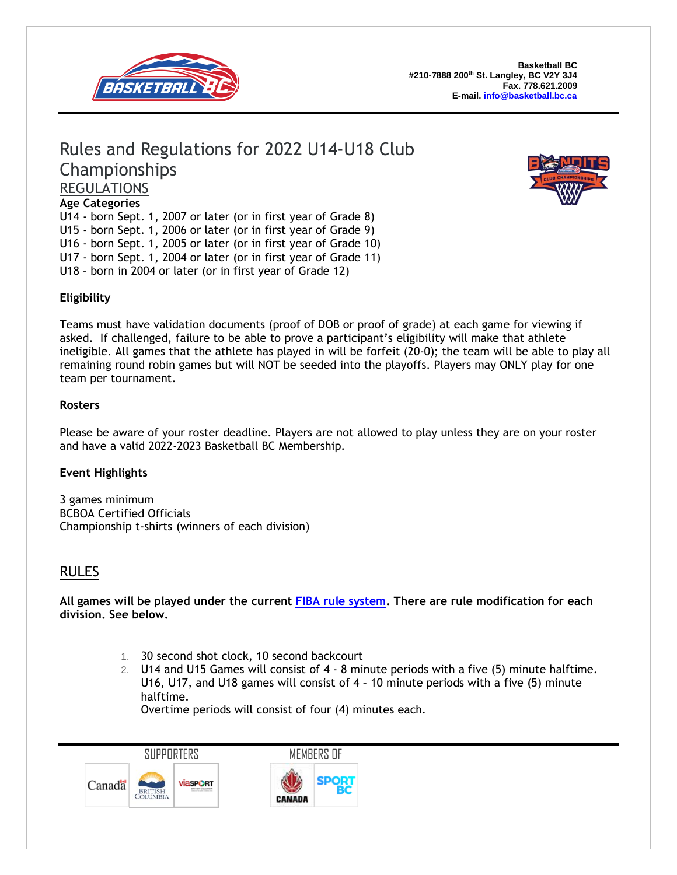

# Rules and Regulations for 2022 U14-U18 Club Championships REGULATIONS



U14 - born Sept. 1, 2007 or later (or in first year of Grade 8) U15 - born Sept. 1, 2006 or later (or in first year of Grade 9) U16 - born Sept. 1, 2005 or later (or in first year of Grade 10) U17 - born Sept. 1, 2004 or later (or in first year of Grade 11) U18 – born in 2004 or later (or in first year of Grade 12)



## **Eligibility**

Teams must have validation documents (proof of DOB or proof of grade) at each game for viewing if asked. If challenged, failure to be able to prove a participant's eligibility will make that athlete ineligible. All games that the athlete has played in will be forfeit (20-0); the team will be able to play all remaining round robin games but will NOT be seeded into the playoffs. Players may ONLY play for one team per tournament.

#### **Rosters**

Please be aware of your roster deadline. Players are not allowed to play unless they are on your roster and have a valid 2022-2023 Basketball BC Membership.

### **Event Highlights**

3 games minimum BCBOA Certified Officials Championship t-shirts (winners of each division)

# RULES

**All games will be played under the current FIBA rule [system.](https://drive.google.com/folderview?id=0B6hP9lCyRbZ5cmQ2MFdJT1VWVG8&usp=sharing) There are rule modification for each division. See below.**

- 1. 30 second shot clock, 10 second backcourt
- 2. U14 and U15 Games will consist of 4 8 minute periods with a five (5) minute halftime. U16, U17, and U18 games will consist of 4 – 10 minute periods with a five (5) minute halftime.

Overtime periods will consist of four (4) minutes each.